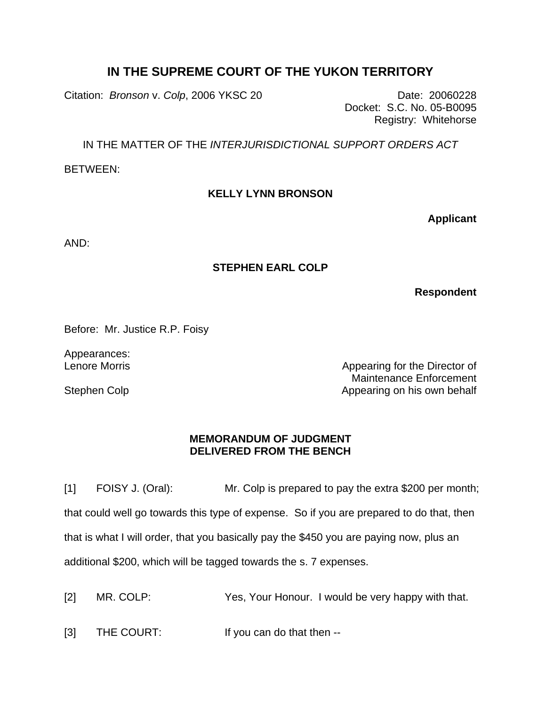## **IN THE SUPREME COURT OF THE YUKON TERRITORY**

Citation: *Bronson v. Colp*, 2006 YKSC 20 Date: 20060228

Docket: S.C. No. 05-B0095 Registry: Whitehorse

IN THE MATTER OF THE *INTERJURISDICTIONAL SUPPORT ORDERS ACT*

BETWEEN:

## **KELLY LYNN BRONSON**

**Applicant**

AND:

## **STEPHEN EARL COLP**

**Respondent**

Before: Mr. Justice R.P. Foisy

Appearances: Lenore Morris

Stephen Colp

Appearing for the Director of Maintenance Enforcement Appearing on his own behalf

## **MEMORANDUM OF JUDGMENT DELIVERED FROM THE BENCH**

[1] FOISY J. (Oral): Mr. Colp is prepared to pay the extra \$200 per month; that could well go towards this type of expense. So if you are prepared to do that, then that is what I will order, that you basically pay the \$450 you are paying now, plus an additional \$200, which will be tagged towards the s. 7 expenses.

[2] MR. COLP: Yes, Your Honour. I would be very happy with that.

[3] THE COURT: If you can do that then --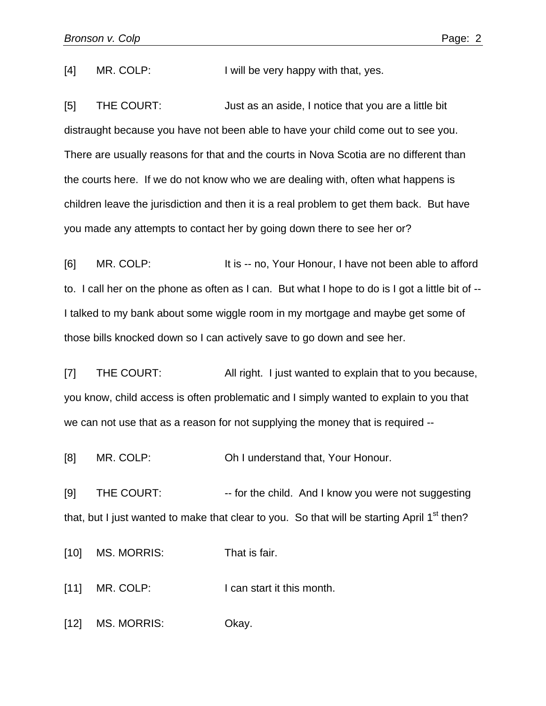[4] MR. COLP: I will be very happy with that, yes.

[5] THE COURT: Just as an aside, I notice that you are a little bit distraught because you have not been able to have your child come out to see you. There are usually reasons for that and the courts in Nova Scotia are no different than the courts here. If we do not know who we are dealing with, often what happens is children leave the jurisdiction and then it is a real problem to get them back. But have you made any attempts to contact her by going down there to see her or?

[6] MR. COLP: It is -- no, Your Honour, I have not been able to afford to. I call her on the phone as often as I can. But what I hope to do is I got a little bit of -- I talked to my bank about some wiggle room in my mortgage and maybe get some of those bills knocked down so I can actively save to go down and see her.

[7] THE COURT: All right. I just wanted to explain that to you because, you know, child access is often problematic and I simply wanted to explain to you that we can not use that as a reason for not supplying the money that is required --

[8] MR. COLP: **Oh I understand that, Your Honour.** 

[9] THE COURT: -- for the child. And I know you were not suggesting that, but I just wanted to make that clear to you. So that will be starting April  $1<sup>st</sup>$  then?

[10] MS. MORRIS: That is fair.

[11] MR. COLP: I can start it this month.

[12] MS. MORRIS: Okay.